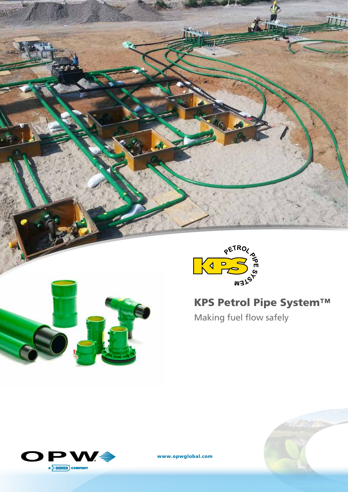





www.opwglobal.com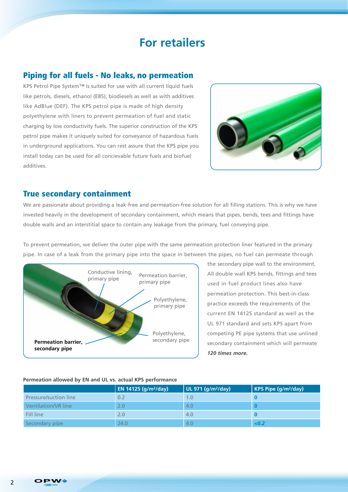# **For retailers**

#### Piping for all fuels - No leaks, no permeation

KPS Petrol Pipe System™ is suited for use with all current liquid fuels like petrols, diesels, ethanol (E85), biodiesels as well as with additives like AdBlue (DEF). The KPS petrol pipe is made of high density polyethylene with liners to prevent permeation of fuel and static charging by low conductivity fuels. The superior construction of the KPS petrol pipe makes it uniquely suited for conveyance of hazardous fuels in underground applications. You can rest assure that the KPS pipe you install today can be used for all concievable future fuels and biofuel additives.



#### True secondary containment

We are passionate about providing a leak-free and permeation-free solution for all filling stations. This is why we have invested heavily in the development of secondary containment, which means that pipes, bends, tees and fittings have double walls and an interstitial space to contain any leakage from the primary, fuel conveying pipe.

To prevent permeation, we deliver the outer pipe with the same permeation protection liner featured in the primary pipe. In case of a leak from the primary pipe into the space in between the pipes, no fuel can permeate through



the secondary pipe wall to the environment. All double wall KPS bends, fittings and tees used in fuel product lines also have permeation protection. This best-in-class practice exceeds the requirements of the current EN 14125 standard as well as the UL 971 standard and sets KPS apart from competing PE pipe systems that use unlined secondary containment which will permeate *120 times more.*

#### **Permeation allowed by EN and UL vs. actual KPS performance**

|                              | <b>EN 14125 (g/m<sup>2</sup>/day)</b> | UL 971 (g/m <sup>2</sup> /day) | KPS Pipe $(g/m^2/day)$ |
|------------------------------|---------------------------------------|--------------------------------|------------------------|
| <b>Pressure/suction line</b> | 0.2                                   | I .O                           |                        |
| Ventilation/VR line          | 2.0                                   | 4.0                            |                        |
| Fill line                    | 2.0                                   | 4.0                            |                        |
| Secondary pipe               | 24.0                                  | 4.0                            | < 0.2                  |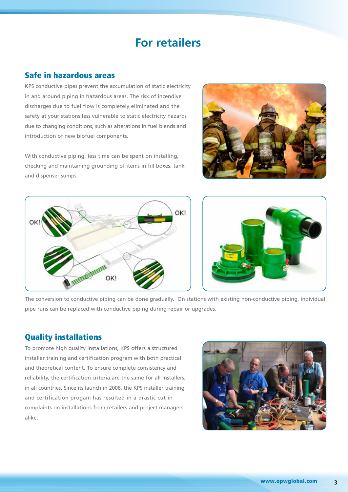## **For retailers**

### Safe in hazardous areas

KPS conductive pipes prevent the accumulation of static electricity in and around piping in hazardous areas. The risk of incendive discharges due to fuel flow is completely eliminated and the safety at your stations less vulnerable to static electricity hazards due to changing conditions, such as alterations in fuel blends and introduction of new biofuel components.

With conductive piping, less time can be spent on installing, checking and maintaining grounding of items in fill boxes, tank and dispenser sumps.







The conversion to conductive piping can be done gradually. On stations with existing non-conductive piping, individual pipe runs can be replaced with conductive piping during repair or upgrades.

### Quality installations

To promote high quality installations, KPS offers a structured installer training and certification program with both practical and theoretical content. To ensure complete consistency and reliability, the certification criteria are the same for all installers, in all countries. Since its launch in 2008, the KPS installer training and certification progam has resulted in a drastic cut in complaints on installations from retailers and project managers alike.

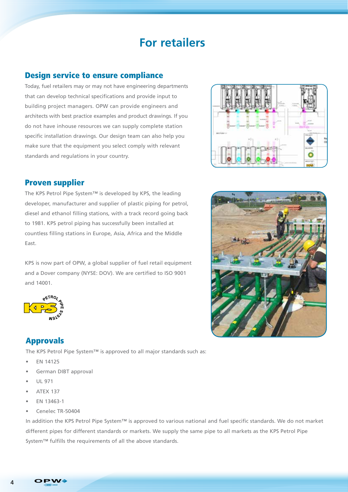## **For retailers**

### Design service to ensure compliance

Today, fuel retailers may or may not have engineering departments that can develop technical specifications and provide input to building project managers. OPW can provide engineers and architects with best practice examples and product drawings. If you do not have inhouse resources we can supply complete station specific installation drawings. Our design team can also help you make sure that the equipment you select comply with relevant standards and regulations in your country.



#### Proven supplier

The KPS Petrol Pipe System™ is developed by KPS, the leading developer, manufacturer and supplier of plastic piping for petrol, diesel and ethanol filling stations, with a track record going back to 1981. KPS petrol piping has successfully been installed at countless filling stations in Europe, Asia, Africa and the Middle East.

KPS is now part of OPW, a global supplier of fuel retail equipment and a Dover company (NYSE: DOV). We are certified to ISO 9001 and 14001.



## Approvals

The KPS Petrol Pipe System™ is approved to all major standards such as:

- EN 14125
- German DIBT approval
- UL 971
- ATEX 137
- EN 13463-1
- Cenelec TR-50404

In addition the KPS Petrol Pipe System™ is approved to various national and fuel specific standards. We do not market different pipes for different standards or markets. We supply the same pipe to all markets as the KPS Petrol Pipe System™ fulfills the requirements of all the above standards.



4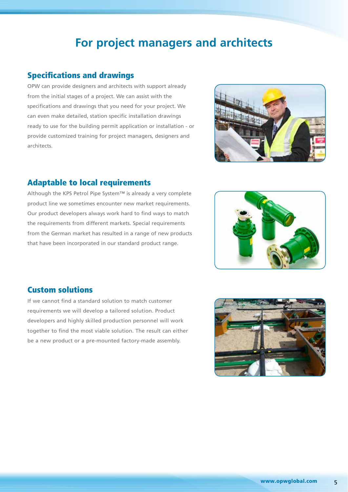# **For project managers and architects**

### Specifications and drawings

OPW can provide designers and architects with support already from the initial stages of a project. We can assist with the specifications and drawings that you need for your project. We can even make detailed, station specific installation drawings ready to use for the building permit application or installation - or provide customized training for project managers, designers and architects.



### Adaptable to local requirements

Although the KPS Petrol Pipe System™ is already a very complete product line we sometimes encounter new market requirements. Our product developers always work hard to find ways to match the requirements from different markets. Special requirements from the German market has resulted in a range of new products that have been incorporated in our standard product range.



#### Custom solutions

If we cannot find a standard solution to match customer requirements we will develop a tailored solution. Product developers and highly skilled production personnel will work together to find the most viable solution. The result can either be a new product or a pre-mounted factory-made assembly.

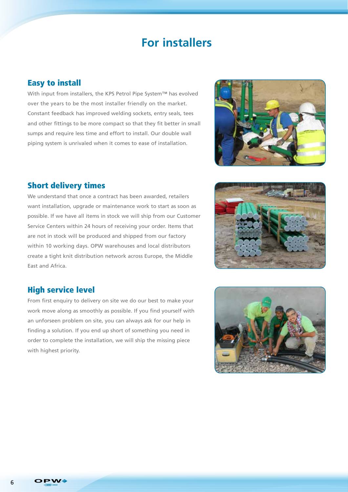## **For installers**

### Easy to install

With input from installers, the KPS Petrol Pipe System™ has evolved over the years to be the most installer friendly on the market. Constant feedback has improved welding sockets, entry seals, tees and other fittings to be more compact so that they fit better in small sumps and require less time and effort to install. Our double wall piping system is unrivaled when it comes to ease of installation.



### Short delivery times

We understand that once a contract has been awarded, retailers want installation, upgrade or maintenance work to start as soon as possible. If we have all items in stock we will ship from our Customer Service Centers within 24 hours of receiving your order. Items that are not in stock will be produced and shipped from our factory within 10 working days. OPW warehouses and local distributors create a tight knit distribution network across Europe, the Middle East and Africa.



### High service level

From first enquiry to delivery on site we do our best to make your work move along as smoothly as possible. If you find yourself with an unforseen problem on site, you can always ask for our help in finding a solution. If you end up short of something you need in order to complete the installation, we will ship the missing piece with highest priority.

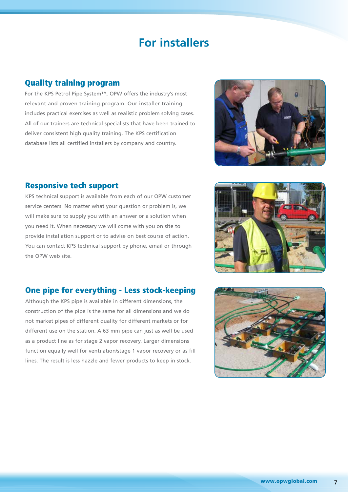## **For installers**

### Quality training program

For the KPS Petrol Pipe System™, OPW offers the industry's most relevant and proven training program. Our installer training includes practical exercises as well as realistic problem solving cases. All of our trainers are technical specialists that have been trained to deliver consistent high quality training. The KPS certification database lists all certified installers by company and country.



### Responsive tech support

KPS technical support is available from each of our OPW customer service centers. No matter what your question or problem is, we will make sure to supply you with an answer or a solution when you need it. When necessary we will come with you on site to provide installation support or to advise on best course of action. You can contact KPS technical support by phone, email or through the OPW web site.

### One pipe for everything - Less stock-keeping

Although the KPS pipe is available in different dimensions, the construction of the pipe is the same for all dimensions and we do not market pipes of different quality for different markets or for different use on the station. A 63 mm pipe can just as well be used as a product line as for stage 2 vapor recovery. Larger dimensions function equally well for ventilation/stage 1 vapor recovery or as fill lines. The result is less hazzle and fewer products to keep in stock.